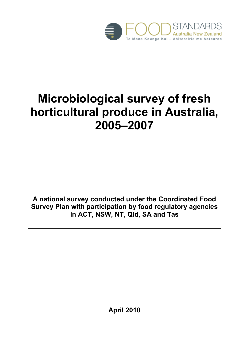

# **Microbiological survey of fresh horticultural produce in Australia, 2005–2007**

**A national survey conducted under the Coordinated Food Survey Plan with participation by food regulatory agencies in ACT, NSW, NT, Qld, SA and Tas** 

**April 2010**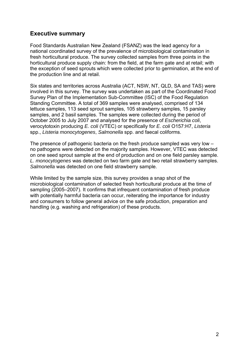## **Executive summary**

Food Standards Australian New Zealand (FSANZ) was the lead agency for a national coordinated survey of the prevalence of microbiological contamination in fresh horticultural produce. The survey collected samples from three points in the horticultural produce supply chain: from the field, at the farm gate and at retail; with the exception of seed sprouts which were collected prior to germination, at the end of the production line and at retail.

Six states and territories across Australia (ACT, NSW, NT, QLD, SA and TAS) were involved in this survey. The survey was undertaken as part of the Coordinated Food Survey Plan of the Implementation Sub-Committee (ISC) of the Food Regulation Standing Committee. A total of 369 samples were analysed, comprised of 134 lettuce samples, 113 seed sprout samples, 105 strawberry samples, 15 parsley samples, and 2 basil samples. The samples were collected during the period of October 2005 to July 2007 and analysed for the presence of *Escherichia coli*, verocytotoxin producing *E. coli* (VTEC) or specifically for *E. coli* O157:H7, *Listeria* spp., *Listeria monocytogenes*, *Salmonella* spp. and faecal coliforms.

The presence of pathogenic bacteria on the fresh produce sampled was very low – no pathogens were detected on the majority samples. However, VTEC was detected on one seed sprout sample at the end of production and on one field parsley sample. *L. monocytogenes* was detected on two farm gate and two retail strawberry samples. *Salmonella* was detected on one field strawberry sample.

While limited by the sample size, this survey provides a snap shot of the microbiological contamination of selected fresh horticultural produce at the time of sampling (2005–2007). It confirms that infrequent contamination of fresh produce with potentially harmful bacteria can occur, reiterating the importance for industry and consumers to follow general advice on the safe production, preparation and handling (e.g. washing and refrigeration) of these products.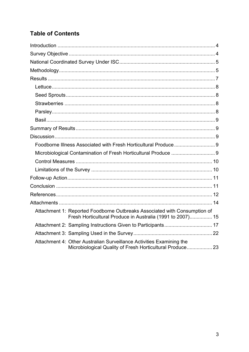# **Table of Contents**

| Microbiological Contamination of Fresh Horticultural Produce  9                                                                         |  |
|-----------------------------------------------------------------------------------------------------------------------------------------|--|
|                                                                                                                                         |  |
|                                                                                                                                         |  |
|                                                                                                                                         |  |
|                                                                                                                                         |  |
|                                                                                                                                         |  |
|                                                                                                                                         |  |
| Attachment 1: Reported Foodborne Outbreaks Associated with Consumption of<br>Fresh Horticultural Produce in Australia (1991 to 2007) 15 |  |
| Attachment 2: Sampling Instructions Given to Participants 17                                                                            |  |
|                                                                                                                                         |  |
| Attachment 4: Other Australian Surveillance Activities Examining the<br>Microbiological Quality of Fresh Horticultural Produce 23       |  |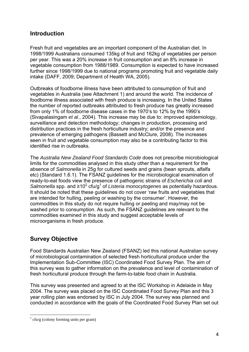# **Introduction**

Fresh fruit and vegetables are an important component of the Australian diet. In 1998/1999 Australians consumed 135kg of fruit and 162kg of vegetables per person per year. This was a 20% increase in fruit consumption and an 8% increase in vegetable consumption from 1988/1989. Consumption is expected to have increased further since 1998/1999 due to national programs promoting fruit and vegetable daily intake (DAFF, 2009; Department of Health WA, 2005).

Outbreaks of foodborne illness have been attributed to consumption of fruit and vegetables in Australia (see Attachment 1) and around the world. The incidence of foodborne illness associated with fresh produce is increasing. In the United States the number of reported outbreaks attributed to fresh produce has greatly increased from only 1% of foodborne disease cases in the 1970's to 12% by the 1990's (Sivapalasingam *et al*., 2004). This increase may be due to: improved epidemiology, surveillance and detection methodology; changes in production, processing and distribution practices in the fresh horticulture industry; and/or the presence and prevalence of emerging pathogens (Bassett and McClure, 2008). The increases seen in fruit and vegetable consumption may also be a contributing factor to this identified rise in outbreaks.

The *Australia New Zealand Food Standards Code* does not prescribe microbiological limits for the commodities analysed in this study other than a requirement for the absence of *Salmonella* in 25g for cultured seeds and grains (bean sprouts, alfalfa etc) (Standard 1.6.1). The FSANZ guidelines for the microbiological examination of ready-to-eat foods view the presence of pathogenic strains of *Escherichia coli* and Salmonella spp. and ≥10<sup>2</sup> cfu/g<sup>1</sup> of *Listeria monocytogenes* as potentially hazardous. It should be noted that these guidelines do not cover 'raw fruits and vegetables that are intended for hulling, peeling or washing by the consumer'. However, the commodities in this study do not require hulling or peeling and may/may not be washed prior to consumption. As such, the FSANZ guidelines are relevant to the commodities examined in this study and suggest acceptable levels of microorganisms in fresh produce.

# **Survey Objective**

Food Standards Australian New Zealand (FSANZ) led this national Australian survey of microbiological contamination of selected fresh horticultural produce under the Implementation Sub-Committee (ISC) Coordinated Food Survey Plan. The aim of this survey was to gather information on the prevalence and level of contamination of fresh horticultural produce through the farm-to-table food chain in Australia.

This survey was presented and agreed to at the ISC Workshop in Adelaide in May 2004. The survey was placed on the ISC Coordinated Food Survey Plan and this 3 year rolling plan was endorsed by ISC in July 2004. The survey was planned and conducted in accordance with the goals of the Coordinated Food Survey Plan set out

1

 $\frac{1}{1}$  cfu/g (colony forming units per gram)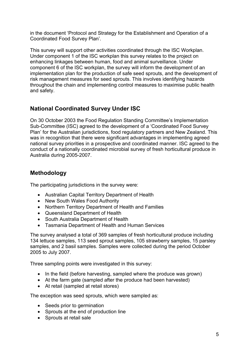in the document 'Protocol and Strategy for the Establishment and Operation of a Coordinated Food Survey Plan'.

This survey will support other activities coordinated through the ISC Workplan. Under component 1 of the ISC workplan this survey relates to the project on enhancing linkages between human, food and animal surveillance. Under component 6 of the ISC workplan, the survey will inform the development of an implementation plan for the production of safe seed sprouts, and the development of risk management measures for seed sprouts. This involves identifying hazards throughout the chain and implementing control measures to maximise public health and safety.

# **National Coordinated Survey Under ISC**

On 30 October 2003 the Food Regulation Standing Committee's Implementation Sub-Committee (ISC) agreed to the development of a 'Coordinated Food Survey Plan' for the Australian jurisdictions, food regulatory partners and New Zealand. This was in recognition that there were significant advantages in implementing agreed national survey priorities in a prospective and coordinated manner. ISC agreed to the conduct of a nationally coordinated microbial survey of fresh horticultural produce in Australia during 2005-2007.

# **Methodology**

The participating jurisdictions in the survey were:

- Australian Capital Territory Department of Health
- New South Wales Food Authority
- Northern Territory Department of Health and Families
- Queensland Department of Health
- South Australia Department of Health
- Tasmania Department of Health and Human Services

The survey analysed a total of 369 samples of fresh horticultural produce including 134 lettuce samples, 113 seed sprout samples, 105 strawberry samples, 15 parsley samples, and 2 basil samples. Samples were collected during the period October 2005 to July 2007.

Three sampling points were investigated in this survey:

- In the field (before harvesting, sampled where the produce was grown)
- At the farm gate (sampled after the produce had been harvested)
- At retail (sampled at retail stores)

The exception was seed sprouts, which were sampled as:

- Seeds prior to germination
- Sprouts at the end of production line
- Sprouts at retail sale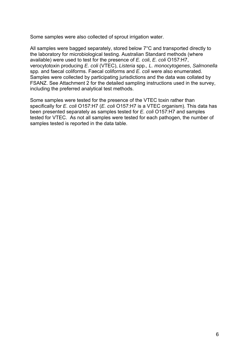Some samples were also collected of sprout irrigation water.

All samples were bagged separately, stored below 7°C and transported directly to the laboratory for microbiological testing. Australian Standard methods (where available) were used to test for the presence of *E. coli*, *E. coli* O157:H7, verocytotoxin producing *E. coli* (VTEC), *Listeria* spp*., L. monocytogenes*, *Salmonella*  spp*.* and faecal coliforms. Faecal coliforms and *E. coli* were also enumerated. Samples were collected by participating jurisdictions and the data was collated by FSANZ. See Attachment 2 for the detailed sampling instructions used in the survey, including the preferred analytical test methods.

Some samples were tested for the presence of the VTEC toxin rather than specifically for *E. coli* O157:H7 (*E. coli* O157:H7 is a VTEC organism). This data has been presented separately as samples tested for *E. coli* O157:H7 and samples tested for VTEC. As not all samples were tested for each pathogen, the number of samples tested is reported in the data table.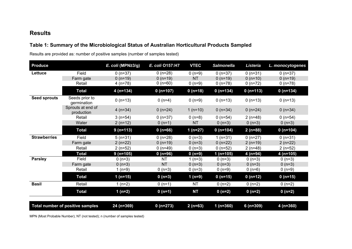## **Results**

# **Table 1: Summary of the Microbiological Status of Australian Horticultural Products Sampled**

Results are provided as: number of positive samples (number of samples tested)

| <b>Produce</b>      |                                  | E. coli (MPN $\geq$ 3/g) | E. coli 0157:H7 | <b>VTEC</b>  | <b>Salmonella</b> | Listeria   | L. monocytogenes |
|---------------------|----------------------------------|--------------------------|-----------------|--------------|-------------------|------------|------------------|
| Lettuce             | Field                            | $0(n=37)$                | $0(n=28)$       | $0(n=9)$     | $0(n=37)$         | $0(n=31)$  | $0(n=37)$        |
|                     | Farm gate                        | $0($ n=19)               | $0($ n=19)      | <b>NT</b>    | $0($ n=19)        | $0($ n=10) | $0($ n=19)       |
|                     | Retail                           | 4 (n=78)                 | 0 $(n=60)$      | $0(n=9)$     | $0(n=78)$         | $0(n=72)$  | $0(n=78)$        |
|                     | <b>Total</b>                     | $4(n=134)$               | $0($ n=107)     | $0($ n=18)   | $0($ n=134)       | $0(n=113)$ | $0(n=134)$       |
| <b>Seed sprouts</b> | Seeds prior to<br>germination    | $0(n=13)$                | $0(n=4)$        | $0(n=9)$     | $0(n=13)$         | $0(n=13)$  | $0(n=13)$        |
|                     | Sprouts at end of<br>production  | 4 $(n=34)$               | 0 $(n=24)$      | 1 $(n=10)$   | 0 $(n=34)$        | 0 $(n=24)$ | 0 $(n=34)$       |
|                     | Retail                           | $3(n=54)$                | $0(n=37)$       | $0(n=8)$     | $0(n=54)$         | $2(n=48)$  | $0(n=54)$        |
|                     | Water                            | $2(n=12)$                | $0(n=1)$        | <b>NT</b>    | $0(n=3)$          | $0(n=3)$   | $0(n=3)$         |
|                     | <b>Total</b>                     | $9(n=113)$               | $0($ n=66)      | 1 ( $n=27$ ) | $0(n=104)$        | $2(n=88)$  | $0(n=104)$       |
| <b>Strawberries</b> | Field                            | $5(n=31)$                | $0(n=28)$       | $0(n=3)$     | $1(n=31)$         | $0(n=27)$  | $0(n=31)$        |
|                     | Farm gate                        | $2(n=22)$                | $0($ n=19)      | $0(n=3)$     | $0(n=22)$         | $2(n=19)$  | $2(n=22)$        |
|                     | Retail                           | $2(n=52)$                | $0($ n=49)      | $0(n=3)$     | $0(n=52)$         | $2(n=48)$  | $2(n=52)$        |
|                     | <b>Total</b>                     | $9($ n=105)              | $0($ n=96)      | $0(n=9)$     | 1 $(n=105)$       | $4(n=94)$  | $4(n=105)$       |
| <b>Parsley</b>      | Field                            | $0(n=3)$                 | <b>NT</b>       | 1 $(n=3)$    | $0(n=3)$          | $0(n=3)$   | $0(n=3)$         |
|                     | Farm gate                        | $0(n=3)$                 | <b>NT</b>       | $0(n=3)$     | $0(n=3)$          | $0(n=3)$   | $0(n=3)$         |
|                     | Retail                           | 1 $(n=9)$                | $0(n=3)$        | $0(n=3)$     | $0(n=9)$          | $0(n=6)$   | $0(n=9)$         |
|                     | <b>Total</b>                     | 1 $(n=15)$               | $0(n=3)$        | $1(n=9)$     | $0(n=15)$         | $0(n=12)$  | $0(n=15)$        |
| <b>Basil</b>        | Retail                           | 1 $(n=2)$                | $0(n=1)$        | <b>NT</b>    | $0(n=2)$          | $0(n=2)$   | $0(n=2)$         |
|                     | <b>Total</b>                     | $1(n=2)$                 | $0(n=1)$        | <b>NT</b>    | $0(n=2)$          | $0(n=2)$   | $0(n=2)$         |
|                     |                                  |                          |                 |              |                   |            |                  |
|                     | Total number of positive samples | 24 (n=369)               | $0(n=273)$      | $2(n=63)$    | $1(n=360)$        | $6(n=309)$ | $4(n=360)$       |

MPN (Most Probable Number); NT (not tested); n (number of samples tested)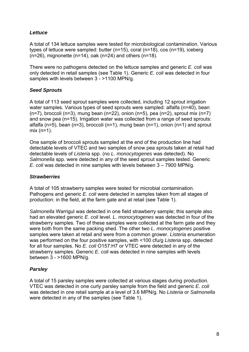## *Lettuce*

A total of 134 lettuce samples were tested for microbiological contamination. Various types of lettuce were sampled: butter (n=15), coral (n=18), cos (n=19), iceberg  $(n=26)$ , mignonette  $(n=14)$ , oak  $(n=24)$  and others  $(n=18)$ .

There were no pathogens detected on the lettuce samples and generic *E. coli* was only detected in retail samples (see Table 1). Generic *E. coli* was detected in four samples with levels between 3 - >1100 MPN/g.

## *Seed Sprouts*

A total of 113 seed sprout samples were collected, including 12 sprout irrigation water samples. Various types of seed sprouts were sampled: alfalfa (n=40), bean  $(n=7)$ , broccoli  $(n=3)$ , mung bean  $(n=22)$ , onion  $(n=5)$ , pea  $(n=2)$ , sprout mix  $(n=7)$ and snow pea (n=15). Irrigation water was collected from a range of seed sprouts: alfalfa ( $n=5$ ), bean ( $n=3$ ), broccoli ( $n=1$ ), mung bean ( $n=1$ ), onion ( $n=1$ ) and sprout mix (n=1).

One sample of broccoli sprouts sampled at the end of the production line had detectable levels of VTEC and two samples of snow pea sprouts taken at retail had detectable levels of *Listeria* spp. (no *L. monocytogenes* was detected). No *Salmonella* spp. were detected in any of the seed sprout samples tested. Generic *E. coli* was detected in nine samples with levels between 3 – 7900 MPN/g.

## *Strawberries*

A total of 105 strawberry samples were tested for microbial contamination. Pathogens and generic *E. coli* were detected in samples taken from all stages of production: in the field, at the farm gate and at retail (see Table 1).

*Salmonella* Warrigul was detected in one field strawberry sample; this sample also had an elevated generic *E. coli* level. *L. monocytogenes* was detected in four of the strawberry samples. Two of these samples were collected at the farm gate and they were both from the same packing shed. The other two *L. monocytogenes* positive samples were taken at retail and were from a common grower. *Listeria* enumeration was performed on the four positive samples, with <100 cfu/g *Listeria* spp. detected for all four samples. No *E. coli* O157:H7 or VTEC were detected in any of the strawberry samples. Generic *E. coli* was detected in nine samples with levels between 3 - >1600 MPN/g.

## *Parsley*

A total of 15 parsley samples were collected at various stages during production. VTEC was detected in one curly parsley sample from the field and generic *E. coli* was detected in one retail sample at a level of 3.6 MPN/g. No *Listeria* or *Salmonella* were detected in any of the samples (see Table 1).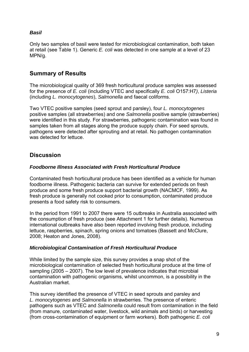## *Basil*

Only two samples of basil were tested for microbiological contamination, both taken at retail (see Table 1). Generic *E. coli* was detected in one sample at a level of 23 MPN/g.

# **Summary of Results**

The microbiological quality of 369 fresh horticultural produce samples was assessed for the presence of *E. coli* (including VTEC and specifically *E. coli* O157:H7*)*, *Listeria* (including *L. monocytogenes*), *Salmonella* and faecal coliforms.

Two VTEC positive samples (seed sprout and parsley), four *L. monocytogenes* positive samples (all strawberries) and one *Salmonella* positive sample (strawberries) were identified in this study. For strawberries, pathogenic contamination was found in samples taken from all stages along the produce supply chain. For seed sprouts, pathogens were detected after sprouting and at retail. No pathogen contamination was detected for lettuce.

# **Discussion**

## *Foodborne Illness Associated with Fresh Horticultural Produce*

Contaminated fresh horticultural produce has been identified as a vehicle for human foodborne illness. Pathogenic bacteria can survive for extended periods on fresh produce and some fresh produce support bacterial growth (NACMCF, 1999). As fresh produce is generally not cooked prior to consumption, contaminated produce presents a food safety risk to consumers.

In the period from 1991 to 2007 there were 15 outbreaks in Australia associated with the consumption of fresh produce (see Attachment 1 for further details). Numerous international outbreaks have also been reported involving fresh produce, including lettuce, raspberries, spinach, spring onions and tomatoes (Bassett and McClure, 2008; Heaton and Jones, 2008).

## *Microbiological Contamination of Fresh Horticultural Produce*

While limited by the sample size, this survey provides a snap shot of the microbiological contamination of selected fresh horticultural produce at the time of sampling (2005 – 2007). The low level of prevalence indicates that microbial contamination with pathogenic organisms, whilst uncommon, is a possibility in the Australian market.

This survey identified the presence of VTEC in seed sprouts and parsley and *L. monocytogenes* and *Salmonella* in strawberries. The presence of enteric pathogens such as VTEC and *Salmonella* could result from contamination in the field (from manure, contaminated water, livestock, wild animals and birds) or harvesting (from cross-contamination of equipment or farm workers). Both pathogenic *E. coli*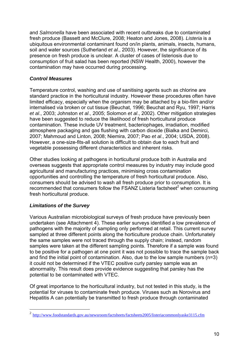and *Salmonella* have been associated with recent outbreaks due to contaminated fresh produce (Bassett and McClure, 2008; Heaton and Jones, 2008). *Listeria* is a ubiquitous environmental contaminant found on/in plants, animals, insects, humans, soil and water sources (Sutherland *et al*., 2003). However, the significance of its presence on fresh produce is unclear. A cluster of cases of listeriosis due to consumption of fruit salad has been reported (NSW Health, 2000), however the contamination may have occurred during processing.

## *Control Measures*

Temperature control, washing and use of sanitising agents such as chlorine are standard practice in the horticultural industry. However these procedures often have limited efficacy, especially when the organism may be attached by a bio-film and/or internalised via broken or cut tissue (Beuchat, 1996; Beuchat and Ryu, 1997; Harris *et al*., 2003; Johnston *et al*., 2005; Solomon *et al*., 2002). Other mitigation strategies have been suggested to reduce the likelihood of fresh horticultural produce contamination. These include UV treatment, bacteriophages, irradiation, modified atmosphere packaging and gas flushing with carbon dioxide (Bialka and Demirci, 2007; Mahmoud and Linton, 2008; Niemira, 2007; Pao *et al*., 2004; USDA, 2008). However, a one-size-fits-all solution is difficult to obtain due to each fruit and vegetable possessing different characteristics and inherent risks.

Other studies looking at pathogens in horticultural produce both in Australia and overseas suggests that appropriate control measures by industry may include good agricultural and manufacturing practices, minimising cross contamination opportunities and controlling the temperature of fresh horticultural produce. Also, consumers should be advised to wash all fresh produce prior to consumption. It is recommended that consumers follow the FSANZ Listeria factsheet $2$  when consuming fresh horticultural produce.

## *Limitations of the Survey*

Various Australian microbiological surveys of fresh produce have previously been undertaken (see Attachment 4). These earlier surveys identified a low prevalence of pathogens with the majority of sampling only performed at retail. This current survey sampled at three different points along the horticulture produce chain. Unfortunately the same samples were not traced through the supply chain; instead, random samples were taken at the different sampling points. Therefore if a sample was found to be positive for a pathogen at one point it was not possible to trace the sample back and find the initial point of contamination. Also, due to the low sample numbers (n=3) it could not be determined if the VTEC positive curly parsley sample was an abnormality. This result does provide evidence suggesting that parsley has the potential to be contaminated with VTEC.

Of great importance to the horticultural industry, but not tested in this study, is the potential for viruses to contaminate fresh produce. Viruses such as Norovirus and Hepatitis A can potentially be transmitted to fresh produce through contaminated

 $\overline{c}$ <sup>2</sup> http://www.foodstandards.gov.au/newsroom/factsheets/factsheets2005/listeriacommonlyaske3115.cfm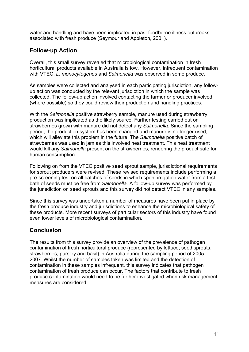water and handling and have been implicated in past foodborne illness outbreaks associated with fresh produce (Seymour and Appleton, 2001).

# **Follow-up Action**

Overall, this small survey revealed that microbiological contamination in fresh horticultural products available in Australia is low. However, infrequent contamination with VTEC, *L. monocytogenes* and *Salmonella* was observed in some produce.

As samples were collected and analysed in each participating jurisdiction, any followup action was conducted by the relevant jurisdiction in which the sample was collected. The follow-up action involved contacting the farmer or producer involved (where possible) so they could review their production and handling practices.

With the *Salmonella* positive strawberry sample, manure used during strawberry production was implicated as the likely source. Further testing carried out on strawberries grown with manure did not detect any *Salmonella*. Since the sampling period, the production system has been changed and manure is no longer used, which will alleviate this problem in the future. The *Salmonella* positive batch of strawberries was used in jam as this involved heat treatment. This heat treatment would kill any *Salmonella* present on the strawberries, rendering the product safe for human consumption.

Following on from the VTEC positive seed sprout sample, jurisdictional requirements for sprout producers were revised. These revised requirements include performing a pre-screening test on all batches of seeds in which spent irrigation water from a test bath of seeds must be free from *Salmonella.* A follow-up survey was performed by the jurisdiction on seed sprouts and this survey did not detect VTEC in any samples.

Since this survey was undertaken a number of measures have been put in place by the fresh produce industry and jurisdictions to enhance the microbiological safety of these products. More recent surveys of particular sectors of this industry have found even lower levels of microbiological contamination.

# **Conclusion**

The results from this survey provide an overview of the prevalence of pathogen contamination of fresh horticultural produce (represented by lettuce, seed sprouts, strawberries, parsley and basil) in Australia during the sampling period of 2005– 2007. Whilst the number of samples taken was limited and the detection of contamination in these samples infrequent, this survey indicates that pathogen contamination of fresh produce can occur. The factors that contribute to fresh produce contamination would need to be further investigated when risk management measures are considered.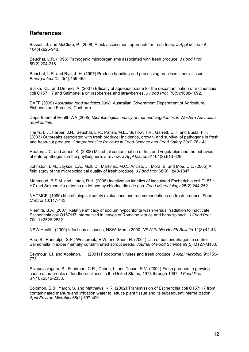# **References**

Bassett, J. and McClure, P. (2008) A risk assessment approach for fresh fruits. *J Appl Microbiol*  104(4):925-943.

Beuchat, L.R. (1996) Pathogenic microorganisms associated with fresh produce. *J Food Prot*  59(2):204-216.

Beuchat, L.R. and Ryu, J.-H. (1997) Produce handling and processing practices: special issue. *Emerg.Infect Dis* 3(4):459-465.

Bialka, K.L. and Demirci, A. (2007) Efficacy of aqueous ozone for the decontamination of Escherichia coli O157:H7 and Salmonella on raspberries and strawberries. *J Food Prot.* 70(5):1088-1092.

DAFF (2009) *Australian food statistics 2008*. Australian Government Department of Agriculture, Fisheries and Forestry, Canberra.

Department of Health WA (2005) *Microbiological quality of fruit and vegetables in Western Australian retail outlets*.

Harris, L.J., Farber, J.N., Beuchat, L.R., Parish, M.E., Suslow, T.V., Garrett, E.H. and Busta, F.F. (2003) Outbreaks associated with fresh produce: Incidence, growth, and survival of pathogens in fresh and fresh-cut produce. *Comprehensive Reviews in Food Science and Food Safety* 2(s1):78-141.

Heaton, J.C. and Jones, K. (2008) Microbial contamination of fruit and vegetables and the behaviour of enteropathogens in the phyllosphere: a review. *J Appl Microbiol* 104(3):613-626.

Johnston, L.M., Jaykus, L.A., Moll, D., Martinez, M.C., Anciso, J., Mora, B. and Moe, C.L. (2005) A field study of the microbiological quality of fresh produce. *J Food Prot* 68(9):1840-1847.

Mahmoud, B.S.M. and Linton, R.H. (2008) Inactivation kinetics of inoculated Escherichia coli O157 : H7 and Salmonella enterica on lettuce by chlorine dioxide gas. *Food Microbiology* 25(2):244-252.

NACMCF. (1999) Microbiological safety evaluations and recommendations on fresh produce. *Food Control* 10:117-143.

Niemira, B.A. (2007) Relative efficacy of sodium hypochlorite wash versus irradiation to inactivate Escherichia coli O157:H7 internalized in leaves of Romaine lettuce and baby spinach. *J Food Prot.*  70(11):2526-2532.

NSW Health. (2000) Infectious diseases, NSW: March 2000. *NSW Public Health Bulletin* 11(3):41-43.

Pao, S., Randolph, S.P., Westbrook, E.W. and Shen, H. (2004) Use of bacteriophages to control Salmonella in experimentally contaminated sprout seeds. *Journal of Food Science* 69(5):M127-M130.

Seymour, I.J. and Appleton, H. (2001) Foodborne viruses and fresh produce. *J Appl Microbiol* 91:759- 773.

Sivapalasingam, S., Friedman, C.R., Cohen, L. and Tauxe, R.V. (2004) Fresh produce: a growing cause of outbreaks of foodborne illness in the United States, 1973 through 1997. *J Food Prot*  67(10):2342-2353.

Solomon, E.B., Yaron, S. and Matthews, K.R. (2002) Transmission of Escherichia coli O157:H7 from contaminated manure and irrigation water to lettuce plant tissue and its subsequent internalization. *Appl Environ Microbiol* 68(1):397-400.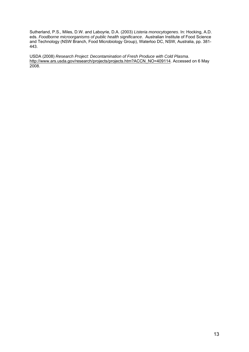Sutherland, P.S., Miles, D.W. and Laboyrie, D.A. (2003) *Listeria monocytogenes*. In: Hocking, A.D. eds. *Foodborne microorganisms of public health significance*. Australian Institute of Food Science and Technology (NSW Branch, Food Microbiology Group), Waterloo DC, NSW, Australia, pp. 381- 443.

USDA (2008) *Research Project: Decontamination of Fresh Produce with Cold Plasma*. http://www.ars.usda.gov/research/projects/projects.htm?ACCN\_NO=409114. Accessed on 6 May 2008.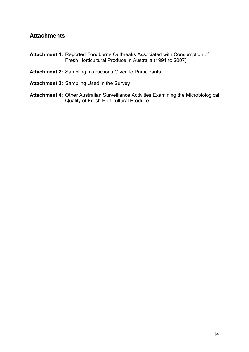# **Attachments**

- **Attachment 1:** Reported Foodborne Outbreaks Associated with Consumption of Fresh Horticultural Produce in Australia (1991 to 2007)
- **Attachment 2:** Sampling Instructions Given to Participants
- **Attachment 3:** Sampling Used in the Survey
- **Attachment 4:** Other Australian Surveillance Activities Examining the Microbiological Quality of Fresh Horticultural Produce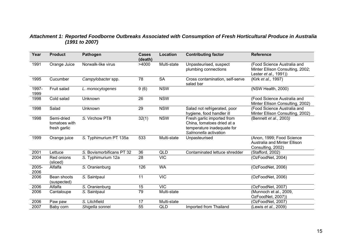## *Attachment 1: Reported Foodborne Outbreaks Associated with Consumption of Fresh Horticultural Produce in Australia (1991 to 2007)*

| Year          | <b>Product</b>                              | <b>Pathogen</b>           | <b>Cases</b><br>(death) | Location        | <b>Contributing factor</b>                                                                                      | <b>Reference</b>                                                                         |
|---------------|---------------------------------------------|---------------------------|-------------------------|-----------------|-----------------------------------------------------------------------------------------------------------------|------------------------------------------------------------------------------------------|
| 1991          | Orange Juice                                | Norwalk-like virus        | >4000                   | Multi-state     | Unpasteurised, suspect<br>plumbing connections                                                                  | (Food Science Australia and<br>Minter Ellison Consulting, 2002;<br>Lester et al., 1991)) |
| 1995          | Cucumber                                    | Campylobacter spp.        | 78                      | <b>SA</b>       | Cross contamination, self-serve<br>salad bar                                                                    | (Kirk et al., 1997)                                                                      |
| 1997-<br>1999 | Fruit salad                                 | L. monocytogenes          | 9(6)                    | <b>NSW</b>      |                                                                                                                 | (NSW Health, 2000)                                                                       |
| 1998          | Cold salad                                  | Unknown                   | 26                      | <b>NSW</b>      |                                                                                                                 | (Food Science Australia and<br>Minter Ellison Consulting, 2002)                          |
| 1998          | Salad                                       | Unknown                   | 29                      | <b>NSW</b>      | Salad not refrigerated, poor<br>hygiene, food handler ill                                                       | (Food Science Australia and<br>Minter Ellison Consulting, 2002)                          |
| 1998          | Semi-dried<br>tomatoes with<br>fresh garlic | S. Virchow PT8            | 32(1)                   | <b>NSW</b>      | Fresh garlic imported from<br>China, tomatoes dried at a<br>temperature inadequate for<br>Salmonella activation | (Bennett et al., 2003)                                                                   |
| 1999          | Orange juice                                | S. Typhimurium PT 135a    | $\overline{533}$        | Multi-state     | Unpasteurised                                                                                                   | (Anon, 1999; Food Science<br><b>Australia and Minter Ellison</b><br>Consulting, 2002)    |
| 2001          | Lettuce                                     | S. Bovismorbificans PT 32 | 36                      | <b>QLD</b>      | Contaminated lettuce shredder                                                                                   | (Stafford, 2002)                                                                         |
| 2004          | Red onions<br>(sliced)                      | S. Typhimurium 12a        | 28                      | <b>VIC</b>      |                                                                                                                 | (OzFoodNet, 2004)                                                                        |
| 2005-<br>2006 | Alfalfa                                     | S. Oranienburg            | 126                     | <b>WA</b>       |                                                                                                                 | (OzFoodNet, 2006)                                                                        |
| 2006          | Bean shoots<br>(suspected)                  | S. Saintpaul              | 11                      | <b>VIC</b>      |                                                                                                                 | (OzFoodNet, 2006)                                                                        |
| 2006          | Alfalfa                                     | S. Oranienburg            | $\overline{15}$         | $\overline{VC}$ |                                                                                                                 | (OzFoodNet, 2007)                                                                        |
| 2006          | Cantaloupe                                  | S. Saintpaul              | 79                      | Multi-state     |                                                                                                                 | (Munnoch et al., 2009,<br>OzFoodNet, 2007))                                              |
| 2006          | Paw paw                                     | S. Litchfield             | 17                      | Multi-state     |                                                                                                                 | (OzFoodNet, 2007)                                                                        |
| 2007          | Baby corn                                   | Shigella sonnei           | 55                      | QLD             | Imported from Thailand                                                                                          | (Lewis et al., 2009)                                                                     |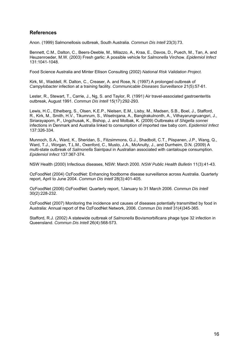## **References**

Anon. (1999) Salmonellosis outbreak, South Australia. *Commun Dis Intell* 23(3):73.

Bennett, C.M., Dalton, C., Beers-Deeble, M., Milazzo, A., Kraa, E., Davos, D., Puech, M., Tan, A. and Heuzenroeder, M.W. (2003) Fresh garlic: A possible vehicle for *Salmonella* Virchow. *Epidemiol Infect*  131:1041-1048.

Food Science Australia and Minter Ellison Consulting (2002) *National Risk Validation Project.* 

Kirk, M., Waddell, R. Dalton, C., Creaser, A. and Rose, N. (1997) A prolonged outbreak of *Campylobacter* infection at a training facility. *Communicable Diseases Surveillance* 21(5):57-61.

Lester, R., Stewart, T., Carrie, J., Ng, S. and Taylor, R. (1991) Air travel-associated gastroenteritis outbreak, August 1991. *Commun Dis Intell* 15(17):292-293.

Lewis, H.C., Ethelberg, S., Olsen, K.E.P., Nielsen, E.M., Lisby, M., Madsen, S.B., Boel, J., Stafford, R., Kirk, M., Smith, H.V., Tikumrum, S., Wisetrojana, A., Bangtrakulnonth, A., Vithayarungruangsri, J., Siriarayaporn, P., Ungchusak, K., Bishop, J. and Molbak, K. (2009) Outbreaks of *Shigella sonnei* infections in Denmark and Australia linked to consumption of imported raw baby corn. *Epidemiol Infect*  137:326-334.

Munnoch, S.A., Ward, K., Sheridan, S., Fitzsimmons, G.J., Shadbolt, C.T., Piispanen, J.P., Wang, Q., Ward, T.J., Worgan, T.L.M., Oxenford, C., Musto, J.A., McAnulty, J., and Durrheim, D.N. (2009) A multi-state outbreak of *Salmonella* Saintpaul in Australian associated with cantaloupe consumption. *Epidemiol Infect* 137:367-374.

NSW Health (2000) Infectious diseases, NSW: March 2000. *NSW Public Health Bulletin* 11(3):41-43.

OzFoodNet (2004) OzFoodNet: Enhancing foodborne disease surveillance across Australia. Quarterly report, April to June 2004. *Commun Dis Intell* 28(3):401-405.

OzFoodNet (2006) OzFoodNet: Quarterly report, 1January to 31 March 2006. *Commun Dis Intell* 30(2):228-232.

OzFoodNet (2007) Monitoring the incidence and causes of diseases potentially transmitted by food in Australia: Annual report of the OzFoodNet Network, 2006. *Commun Dis Intell* 31(4)345-365.

Stafford, R.J. (2002) A statewide outbreak of *Salmonella* Bovismorbificans phage type 32 infection in Queensland. *Commun Dis Intell* 26(4):568-573.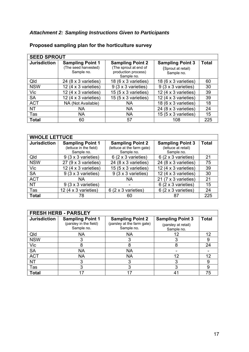# *Attachment 2: Sampling Instructions Given to Participants*

| <b>SEED SPROUT</b>  |                                                               |                                                                                       |                                                             |              |  |  |
|---------------------|---------------------------------------------------------------|---------------------------------------------------------------------------------------|-------------------------------------------------------------|--------------|--|--|
| <b>Jurisdiction</b> | <b>Sampling Point 1</b><br>(The seed harvested)<br>Sample no. | <b>Sampling Point 2</b><br>(The sprout at end of<br>production process)<br>Sample no. | <b>Sampling Point 3</b><br>(Sprout at retail)<br>Sample no. | <b>Total</b> |  |  |
| Qld                 | 24 (8 x 3 varieties)                                          | 18 (6 x 3 varieties)                                                                  | 18 (6 x 3 varieties)                                        | 60           |  |  |
| <b>NSW</b>          | 12 (4 $\times$ 3 varieties)                                   | 9 (3 x 3 varieties)                                                                   | 9 (3 x 3 varieties)                                         | 30           |  |  |
| Vic                 | 12 (4 $\times$ 3 varieties)                                   | 15 ( $5 \times 3$ varieties)                                                          | 12 (4 $\times$ 3 varieties)                                 | 39           |  |  |
| <b>SA</b>           | 12 (4 $\times$ 3 varieties)                                   | 15 (5 $\times$ 3 varieties)                                                           | 12 (4 $\times$ 3 varieties)                                 | 39           |  |  |
| <b>ACT</b>          | NA (Not Available)                                            | <b>NA</b>                                                                             | 18 (6 x 3 varieties)                                        | 18           |  |  |
| <b>NT</b>           | <b>NA</b>                                                     | <b>NA</b>                                                                             | 24 (8 x 3 varieties)                                        | 24           |  |  |
| Tas                 | <b>NA</b>                                                     | <b>NA</b>                                                                             | 15 ( $5 \times 3$ varieties)                                | 15           |  |  |
| <b>Total</b>        | 60                                                            | 57                                                                                    | 108                                                         | 225          |  |  |

# **Proposed sampling plan for the horticulture survey**

| <b>WHOLE LETTUCE</b> |                              |                                   |                                     |              |  |  |  |
|----------------------|------------------------------|-----------------------------------|-------------------------------------|--------------|--|--|--|
| <b>Jurisdiction</b>  | <b>Sampling Point 1</b>      | <b>Sampling Point 2</b>           | <b>Sampling Point 3</b>             | <b>Total</b> |  |  |  |
|                      | (lettuce in the field)       | (lettuce at the farm gate)        | (lettuce at retail)                 |              |  |  |  |
|                      | Sample no.                   | Sample no.                        | Sample no.                          |              |  |  |  |
| Qld                  | 9 (3 x 3 varieties)          | $6(2 \times 3 \text{ varieties})$ | $6(2 \times 3 \text{ varieties})$   | 21           |  |  |  |
| <b>NSW</b>           | 27 ( $9 \times 3$ varieties) | 24 (8 x 3 varieties)              | 24 $(8 \times 3$ varieties)         | 75           |  |  |  |
| Vic                  | 12 (4 $\times$ 3 varieties)  | 15 $(5 \times 3$ varieties)       | 12 (4 $\times$ 3 varieties)         | 39           |  |  |  |
| <b>SA</b>            | 9 (3 x 3 varieties)          | 9 (3 x 3 varieties)               | 12 (4 $\times$ 3 varieties)         | 30           |  |  |  |
| <b>ACT</b>           | NA.                          | ΝA                                | 21 $(7 \times 3 \text{ varieties})$ | 21           |  |  |  |
| <b>NT</b>            | 9 (3 x 3 varieties)          |                                   | $6(2 \times 3 \text{ varieties})$   | 15           |  |  |  |
| Tas                  | 12 (4 $\times$ 3 varieties)  | 6 (2 x 3 varieties)               | 6 (2 x 3 varieties)                 | 24           |  |  |  |
| <b>Total</b>         | 78                           | 60                                | 87                                  | 225          |  |  |  |

| <b>FRESH HERB - PARSLEY</b> |                                                                 |                                                                     |                                                              |              |  |  |  |
|-----------------------------|-----------------------------------------------------------------|---------------------------------------------------------------------|--------------------------------------------------------------|--------------|--|--|--|
| <b>Jurisdiction</b>         | <b>Sampling Point 1</b><br>(parsley in the field)<br>Sample no. | <b>Sampling Point 2</b><br>(parsley at the farm gate)<br>Sample no. | <b>Sampling Point 3</b><br>(parsley at retail)<br>Sample no. | <b>Total</b> |  |  |  |
| Qld                         | <b>NA</b>                                                       | <b>NA</b>                                                           | 12                                                           | 12           |  |  |  |
| <b>NSW</b>                  |                                                                 | 3                                                                   |                                                              |              |  |  |  |
| Vic                         |                                                                 | 8                                                                   | 8                                                            | 24           |  |  |  |
| <b>SA</b>                   | <b>NA</b>                                                       | <b>NA</b>                                                           |                                                              |              |  |  |  |
| <b>ACT</b>                  | <b>NA</b>                                                       | <b>NA</b>                                                           | 12                                                           | 12           |  |  |  |
| <b>NT</b>                   |                                                                 | 3                                                                   | 3                                                            |              |  |  |  |
| Tas                         |                                                                 | 3                                                                   | 3                                                            | 9            |  |  |  |
| <b>Total</b>                |                                                                 | 17                                                                  | 41                                                           | 75           |  |  |  |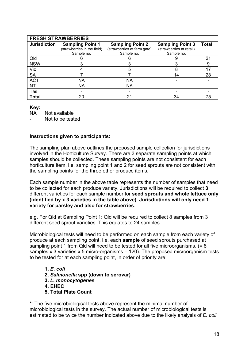| <b>FRESH STRAWBERRIES</b> |                                                                      |                                                                      |                                                                   |                |  |  |  |
|---------------------------|----------------------------------------------------------------------|----------------------------------------------------------------------|-------------------------------------------------------------------|----------------|--|--|--|
| <b>Jurisdiction</b>       | <b>Sampling Point 1</b><br>(strawberries in the field)<br>Sample no. | <b>Sampling Point 2</b><br>(strawberries at farm gate)<br>Sample no. | <b>Sampling Point 3</b><br>(strawberries at retail)<br>Sample no. | <b>Total</b>   |  |  |  |
| Qld                       |                                                                      |                                                                      |                                                                   | 2 <sup>1</sup> |  |  |  |
| <b>NSW</b>                |                                                                      | 3                                                                    | 3                                                                 | 9              |  |  |  |
| Vic                       |                                                                      | 5                                                                    | 8                                                                 |                |  |  |  |
| <b>SA</b>                 |                                                                      |                                                                      | 14                                                                | 28             |  |  |  |
| <b>ACT</b>                | <b>NA</b>                                                            | <b>NA</b>                                                            |                                                                   |                |  |  |  |
| <b>NT</b>                 | <b>NA</b>                                                            | NA                                                                   |                                                                   |                |  |  |  |
| Tas                       |                                                                      |                                                                      |                                                                   |                |  |  |  |
| <b>Total</b>              | 20                                                                   | 21                                                                   | 34                                                                | 75             |  |  |  |

#### **Key:**

NA Not available

Not to be tested

#### **Instructions given to participants:**

The sampling plan above outlines the proposed sample collection for jurisdictions involved in the Horticulture Survey. There are 3 separate sampling points at which samples should be collected. These sampling points are not consistent for each horticulture item. i.e. sampling point 1 and 2 for seed sprouts are not consistent with the sampling points for the three other produce items.

Each sample number in the above table represents the number of samples that need to be collected for each produce variety. Jurisdictions will be required to collect **3** different varieties for each sample number for **seed sprouts and whole lettuce only (identified by x 3 varieties in the table above). Jurisdictions will only need 1 variety for parsley and also for strawberries**.

e.g. For Qld at Sampling Point 1: Qld will be required to collect 8 samples from 3 different seed sprout varieties. This equates to 24 samples.

Microbiological tests will need to be performed on each sample from each variety of produce at each sampling point. i.e. each **sample** of seed sprouts purchased at sampling point 1 from Qld will need to be tested for all five microorganisms. (= 8 samples x 3 varieties x 5 micro-organisms = 120). The proposed microorganism tests to be tested for at each sampling point, in order of priority are:

- **1.** *E. coli*
- **2.** *Salmonella* **spp (down to serovar)**
- **3.** *L. monocytogenes*
- **4. EHEC**
- **5. Total Plate Count**

\*: The five microbiological tests above represent the minimal number of microbiological tests in the survey. The actual number of microbiological tests is estimated to be twice the number indicated above due to the likely analysis of *E. coli*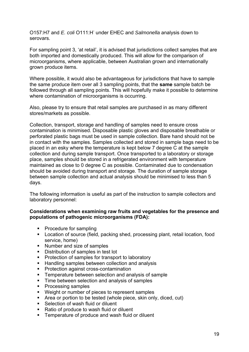O157:H7 and *E. coli* O111:H<sup>-</sup> under EHEC and *Salmonella* analysis down to serovars.

For sampling point 3, 'at retail', it is advised that jurisdictions collect samples that are both imported and domestically produced. This will allow for the comparison of microorganisms, where applicable, between Australian grown and internationally grown produce items.

Where possible, it would also be advantageous for jurisdictions that have to sample the same produce item over all 3 sampling points, that the **same** sample batch be followed through all sampling points. This will hopefully make it possible to determine where contamination of microorganisms is occurring.

Also, please try to ensure that retail samples are purchased in as many different stores/markets as possible.

Collection, transport, storage and handling of samples need to ensure cross contamination is minimised. Disposable plastic gloves and disposable breathable or perforated plastic bags must be used in sample collection. Bare hand should not be in contact with the samples. Samples collected and stored in sample bags need to be placed in an esky where the temperature is kept below 7 degree C at the sample collection and during sample transport. Once transported to a laboratory or storage place, samples should be stored in a refrigerated environment with temperature maintained as close to 0 degree C as possible. Contaminated due to condensation should be avoided during transport and storage. The duration of sample storage between sample collection and actual analysis should be minimised to less than 5 days.

The following information is useful as part of the instruction to sample collectors and laboratory personnel:

#### **Considerations when examining raw fruits and vegetables for the presence and populations of pathogenic microorganisms (FDA):**

- Procedure for sampling
- **EXEDENT Location of source (field, packing shed, processing plant, retail location, food** service, home)
- Number and size of samples
- Distribution of samples in test lot
- **Protection of samples for transport to laboratory**
- Handling samples between collection and analysis
- **Protection against cross-contamination**
- **F** Temperature between selection and analysis of sample
- **Time between selection and analysis of samples**
- Processing samples
- Weight or number of pieces to represent samples
- Area or portion to be tested (whole piece, skin only, diced, cut)
- Selection of wash fluid or diluent
- Ratio of produce to wash fluid or diluent
- **EXTERUTE:** Temperature of produce and wash fluid or diluent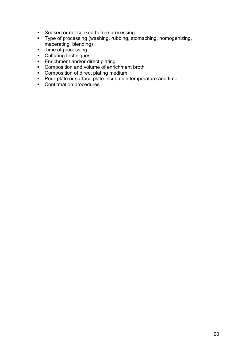- Soaked or not soaked before processing
- Type of processing (washing, rubbing, stomaching, homogenizing, macerating, blending)
- Time of processing
- **Culturing techniques**
- **Enrichment and/or direct plating**
- **Composition and volume of enrichment broth**
- **Composition of direct plating medium**
- **Pour-plate or surface plate Incubation temperature and time**
- **Confirmation procedures**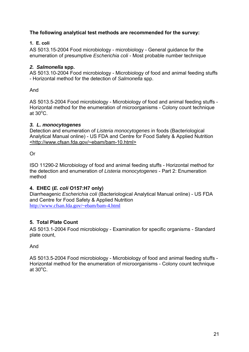## **The following analytical test methods are recommended for the survey:**

## **1. E. coli**

AS 5013.15-2004 Food microbiology - microbiology - General guidance for the enumeration of presumptive *Escherichia coli* - Most probable number technique

## *2. Salmonella* **spp.**

AS 5013.10-2004 Food microbiology - Microbiology of food and animal feeding stuffs - Horizontal method for the detection of *Salmonella* spp.

And

AS 5013.5-2004 Food microbiology - Microbiology of food and animal feeding stuffs - Horizontal method for the enumeration of microorganisms - Colony count technique at  $30^{\circ}$ C.

## *3. L. monocytogenes*

Detection and enumeration of *Listeria monocytogenes* in foods (Bacteriological Analytical Manual online) - US FDA and Centre for Food Safety & Applied Nutrition <http://www.cfsan.fda.gov/~ebam/bam-10.html>

Or

ISO 11290-2 Microbiology of food and animal feeding stuffs - Horizontal method for the detection and enumeration of *Listeria monocytogenes* - Part 2: Enumeration method

## **4. EHEC (***E. coli* **O157:H7 only)**

Diarrheagenic *Escherichia coli* (Bacteriological Analytical Manual online) - US FDA and Centre for Food Safety & Applied Nutrition http://www.cfsan.fda.gov/~ebam/bam-4.html

## **5. Total Plate Count**

AS 5013.1-2004 Food microbiology - Examination for specific organisms - Standard plate count,

And

AS 5013.5-2004 Food microbiology - Microbiology of food and animal feeding stuffs - Horizontal method for the enumeration of microorganisms - Colony count technique at  $30^{\circ}$ C.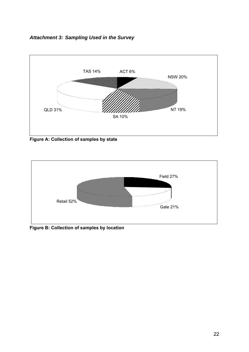



**Figure A: Collection of samples by state** 



**Figure B: Collection of samples by location**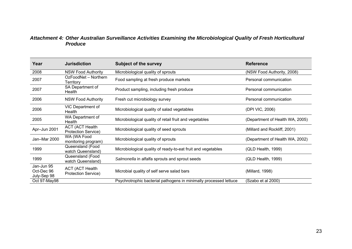#### *Attachment 4: Other Australian Surveillance Activities Examining the Microbiological Quality of Fresh Horticultural Produce*

| Year                                    | <b>Jurisdiction</b>                                  | <b>Subject of the survey</b>                                      | <b>Reference</b>                |
|-----------------------------------------|------------------------------------------------------|-------------------------------------------------------------------|---------------------------------|
| 2008                                    | <b>NSW Food Authority</b>                            | Microbiological quality of sprouts                                | (NSW Food Authority, 2008)      |
| 2007                                    | OzFoodNet - Northern<br>Territory                    | Food sampling at fresh produce markets                            | Personal communication          |
| 2007                                    | SA Department of<br>Health                           | Product sampling, including fresh produce                         | Personal communication          |
| 2006                                    | <b>NSW Food Authority</b>                            | Fresh cut microbiology survey                                     | Personal communication          |
| 2006                                    | VIC Department of<br>Health                          | Microbiological quality of salad vegetables                       | (DPI VIC, 2006)                 |
| 2005                                    | WA Department of<br>Health                           | Microbiological quality of retail fruit and vegetables            | (Department of Health WA, 2005) |
| Apr-Jun 2001                            | <b>ACT (ACT Health</b><br><b>Protection Service)</b> | Microbiological quality of seed sprouts                           | (Millard and Rockliff, 2001)    |
| Jan-Mar 2000                            | WA (WA Food<br>monitoring program)                   | Microbiological quality of sprouts                                | (Department of Health WA, 2002) |
| 1999                                    | Queensland (Food<br>watch Queensland)                | Microbiological quality of ready-to-eat fruit and vegetables      | (QLD Health, 1999)              |
| 1999                                    | Queensland (Food<br>watch Queensland)                | Salmonella in alfalfa sprouts and sprout seeds                    | (QLD Health, 1999)              |
| Jan-Jun 95<br>Oct-Dec 96<br>July-Sep 98 | <b>ACT (ACT Health</b><br>Protection Service)        | Microbial quality of self serve salad bars                        | (Millard, 1998)                 |
| Oct 97-May98                            |                                                      | Psychrotrophic bacterial pathogens in minimally processed lettuce | (Szabo et al 2000)              |